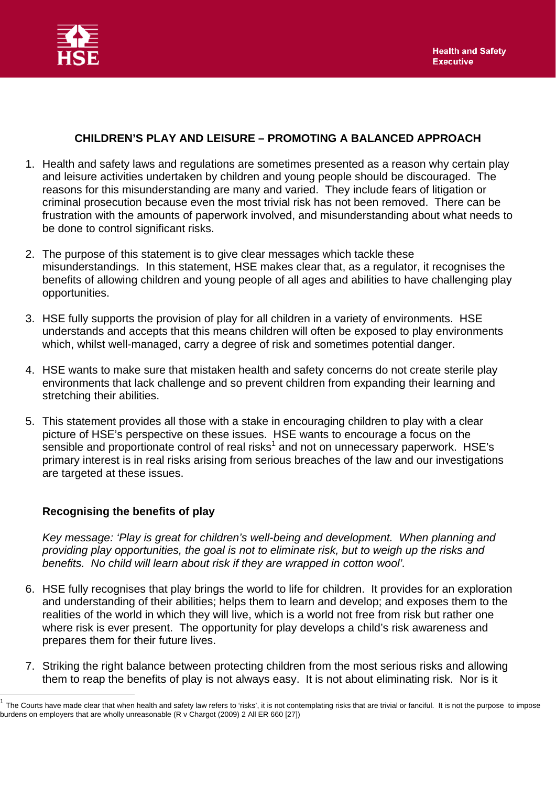

## **CHILDREN'S PLAY AND LEISURE – PROMOTING A BALANCED APPROACH**

- 1. Health and safety laws and regulations are sometimes presented as a reason why certain play and leisure activities undertaken by children and young people should be discouraged. The reasons for this misunderstanding are many and varied. They include fears of litigation or criminal prosecution because even the most trivial risk has not been removed. There can be frustration with the amounts of paperwork involved, and misunderstanding about what needs to be done to control significant risks.
- 2. The purpose of this statement is to give clear messages which tackle these misunderstandings. In this statement, HSE makes clear that, as a regulator, it recognises the benefits of allowing children and young people of all ages and abilities to have challenging play opportunities.
- 3. HSE fully supports the provision of play for all children in a variety of environments. HSE understands and accepts that this means children will often be exposed to play environments which, whilst well-managed, carry a degree of risk and sometimes potential danger.
- 4. HSE wants to make sure that mistaken health and safety concerns do not create sterile play environments that lack challenge and so prevent children from expanding their learning and stretching their abilities.
- 5. This statement provides all those with a stake in encouraging children to play with a clear picture of HSE's perspective on these issues. HSE wants to encourage a focus on the sensible and proportionate control of real risks<sup>1</sup> and not on unnecessary paperwork. HSE's primary interest is in real risks arising from serious breaches of the law and our investigations are targeted at these issues.

## **Recognising the benefits of play**

 $\overline{\phantom{a}}$ 

*Key message: 'Play is great for children's well-being and development. When planning and providing play opportunities, the goal is not to eliminate risk, but to weigh up the risks and benefits. No child will learn about risk if they are wrapped in cotton wool'.* 

- 6. HSE fully recognises that play brings the world to life for children. It provides for an exploration and understanding of their abilities; helps them to learn and develop; and exposes them to the realities of the world in which they will live, which is a world not free from risk but rather one where risk is ever present. The opportunity for play develops a child's risk awareness and prepares them for their future lives.
- 7. Striking the right balance between protecting children from the most serious risks and allowing them to reap the benefits of play is not always easy. It is not about eliminating risk. Nor is it

The Courts have made clear that when health and safety law refers to 'risks', it is not contemplating risks that are trivial or fanciful. It is not the purpose to impose burdens on employers that are wholly unreasonable (R v Chargot (2009) 2 All ER 660 [27])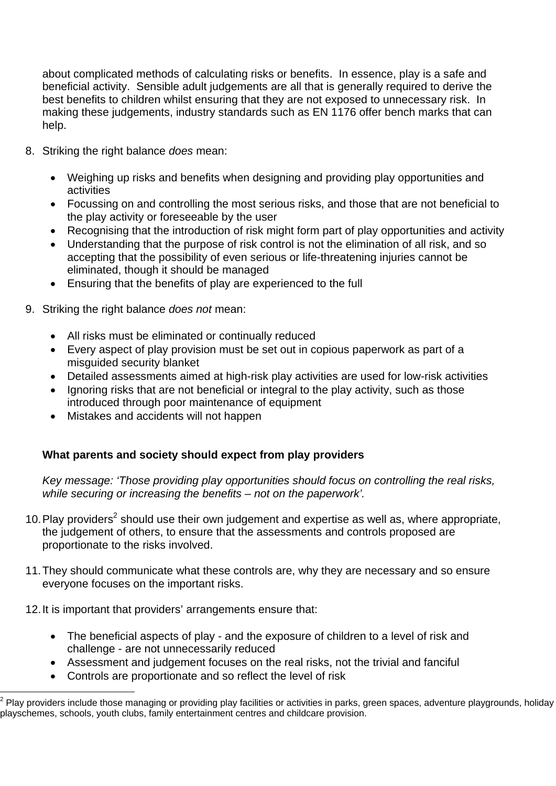about complicated methods of calculating risks or benefits. In essence, play is a safe and beneficial activity. Sensible adult judgements are all that is generally required to derive the best benefits to children whilst ensuring that they are not exposed to unnecessary risk. In making these judgements, industry standards such as EN 1176 offer bench marks that can help.

- 8. Striking the right balance *does* mean:
	- Weighing up risks and benefits when designing and providing play opportunities and activities
	- Focussing on and controlling the most serious risks, and those that are not beneficial to the play activity or foreseeable by the user
	- Recognising that the introduction of risk might form part of play opportunities and activity
	- Understanding that the purpose of risk control is not the elimination of all risk, and so accepting that the possibility of even serious or life-threatening injuries cannot be eliminated, though it should be managed
	- Ensuring that the benefits of play are experienced to the full
- 9. Striking the right balance *does not* mean:
	- All risks must be eliminated or continually reduced
	- Every aspect of play provision must be set out in copious paperwork as part of a misguided security blanket
	- Detailed assessments aimed at high-risk play activities are used for low-risk activities
	- Ignoring risks that are not beneficial or integral to the play activity, such as those introduced through poor maintenance of equipment
	- Mistakes and accidents will not happen

# **What parents and society should expect from play providers**

*Key message: 'Those providing play opportunities should focus on controlling the real risks, while securing or increasing the benefits – not on the paperwork'.* 

- 10. Play providers<sup>2</sup> should use their own judgement and expertise as well as, where appropriate, the judgement of others, to ensure that the assessments and controls proposed are proportionate to the risks involved.
- 11. They should communicate what these controls are, why they are necessary and so ensure everyone focuses on the important risks.

12. It is important that providers' arrangements ensure that:

 $\overline{a}$ 

- The beneficial aspects of play and the exposure of children to a level of risk and challenge - are not unnecessarily reduced
- Assessment and judgement focuses on the real risks, not the trivial and fanciful
- Controls are proportionate and so reflect the level of risk

 $2$  Play providers include those managing or providing play facilities or activities in parks, green spaces, adventure playgrounds, holiday playschemes, schools, youth clubs, family entertainment centres and childcare provision.